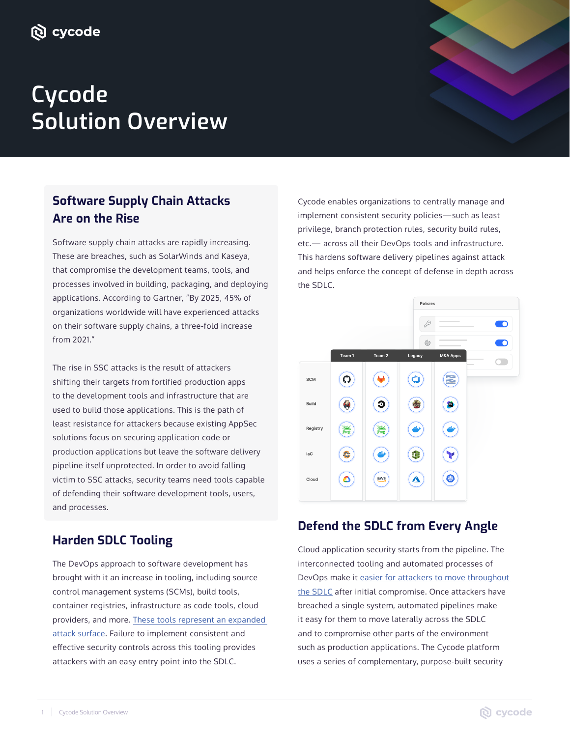# **Cycode Solution Overview**

## **Software Supply Chain Attacks Are on the Rise**

Software supply chain attacks are rapidly increasing. These are breaches, such as SolarWinds and Kaseya, that compromise the development teams, tools, and processes involved in building, packaging, and deploying applications. According to Gartner, "By 2025, 45% of organizations worldwide will have experienced attacks on their software supply chains, a three-fold increase from 2021."

The rise in SSC attacks is the result of attackers shifting their targets from fortified production apps to the development tools and infrastructure that are used to build those applications. This is the path of least resistance for attackers because existing AppSec solutions focus on securing application code or production applications but leave the software delivery pipeline itself unprotected. In order to avoid falling victim to SSC attacks, security teams need tools capable of defending their software development tools, users, and processes.

## **Harden SDLC Tooling**

The DevOps approach to software development has brought with it an increase in tooling, including source control management systems (SCMs), build tools, container registries, infrastructure as code tools, cloud providers, and more. These tools represent an expanded attack surface. Failure to implement consistent and effective security controls across this tooling provides attackers with an easy entry point into the SDLC.

Cycode enables organizations to centrally manage and implement consistent security policies-such as least privilege, branch protection rules, security build rules, etc. - across all their DevOps tools and infrastructure. This hardens software delivery pipelines against attack and helps enforce the concept of defense in depth across the SDLC.



## **Defend the SDLC from Every Angle**

Cloud application security starts from the pipeline. The interconnected tooling and automated processes of DevOps make it easier for attackers to move throughout the SDLC after initial compromise. Once attackers have breached a single system, automated pipelines make it easy for them to move laterally across the SDLC and to compromise other parts of the environment such as production applications. The Cycode platform uses a series of complementary, purpose-built security